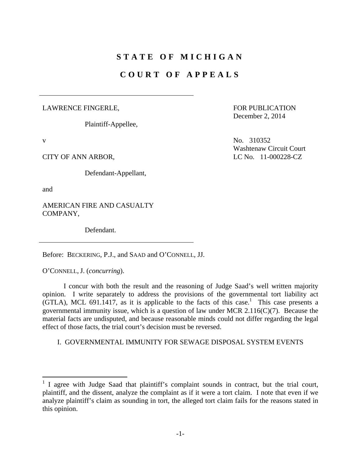# **STATE OF MICHIGAN**

## **COURT OF APPEALS**

#### LAWRENCE FINGERLE,

Plaintiff-Appellee,

Defendant-Appellant,

and

1

AMERICAN FIRE AND CASUALTY COMPANY,

Defendant.

Before: BECKERING, P.J., and SAAD and O'CONNELL, JJ.

O'CONNELL, J. (*concurring*).

 I concur with both the result and the reasoning of Judge Saad's well written majority opinion. I write separately to address the provisions of the governmental tort liability act  $(GTLA)$ , MCL 691.1417, as it is applicable to the facts of this case.<sup>1</sup> This case presents a governmental immunity issue, which is a question of law under MCR 2.116(C)(7). Because the material facts are undisputed, and because reasonable minds could not differ regarding the legal effect of those facts, the trial court's decision must be reversed.

I. GOVERNMENTAL IMMUNITY FOR SEWAGE DISPOSAL SYSTEM EVENTS

FOR PUBLICATION December 2, 2014

 $V$  No. 310352 Washtenaw Circuit Court CITY OF ANN ARBOR, LC No. 11-000228-CZ

<sup>&</sup>lt;sup>1</sup> I agree with Judge Saad that plaintiff's complaint sounds in contract, but the trial court, plaintiff, and the dissent, analyze the complaint as if it were a tort claim. I note that even if we analyze plaintiff's claim as sounding in tort, the alleged tort claim fails for the reasons stated in this opinion.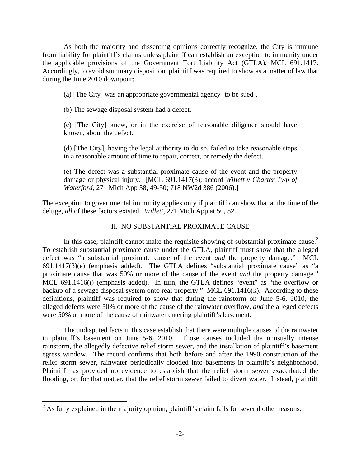As both the majority and dissenting opinions correctly recognize, the City is immune from liability for plaintiff's claims unless plaintiff can establish an exception to immunity under the applicable provisions of the Government Tort Liability Act (GTLA), MCL 691.1417. Accordingly, to avoid summary disposition, plaintiff was required to show as a matter of law that during the June 2010 downpour:

(a) [The City] was an appropriate governmental agency [to be sued].

(b) The sewage disposal system had a defect.

(c) [The City] knew, or in the exercise of reasonable diligence should have known, about the defect.

(d) [The City], having the legal authority to do so, failed to take reasonable steps in a reasonable amount of time to repair, correct, or remedy the defect.

(e) The defect was a substantial proximate cause of the event and the property damage or physical injury. [MCL 691.1417(3); accord *Willett v Charter Twp of Waterford*, 271 Mich App 38, 49-50; 718 NW2d 386 (2006).]

The exception to governmental immunity applies only if plaintiff can show that at the time of the deluge, *all* of these factors existed. *Willett*, 271 Mich App at 50, 52.

### II. NO SUBSTANTIAL PROXIMATE CAUSE

In this case, plaintiff cannot make the requisite showing of substantial proximate cause. $2$ To establish substantial proximate cause under the GTLA, plaintiff must show that the alleged defect was "a substantial proximate cause of the event *and* the property damage." MCL 691.1417(3)(e) (emphasis added). The GTLA defines "substantial proximate cause" as "a proximate cause that was 50% or more of the cause of the event *and* the property damage." MCL 691.1416(*l*) (emphasis added). In turn, the GTLA defines "event" as "the overflow or backup of a sewage disposal system onto real property." MCL 691.1416(k). According to these definitions, plaintiff was required to show that during the rainstorm on June 5-6, 2010, the alleged defects were 50% or more of the cause of the rainwater overflow, *and* the alleged defects were 50% or more of the cause of rainwater entering plaintiff's basement.

 The undisputed facts in this case establish that there were multiple causes of the rainwater in plaintiff's basement on June 5-6, 2010. Those causes included the unusually intense rainstorm, the allegedly defective relief storm sewer, and the installation of plaintiff's basement egress window. The record confirms that both before and after the 1990 construction of the relief storm sewer, rainwater periodically flooded into basements in plaintiff's neighborhood. Plaintiff has provided no evidence to establish that the relief storm sewer exacerbated the flooding, or, for that matter, that the relief storm sewer failed to divert water. Instead, plaintiff

<sup>&</sup>lt;sup>2</sup> As fully explained in the majority opinion, plaintiff's claim fails for several other reasons.